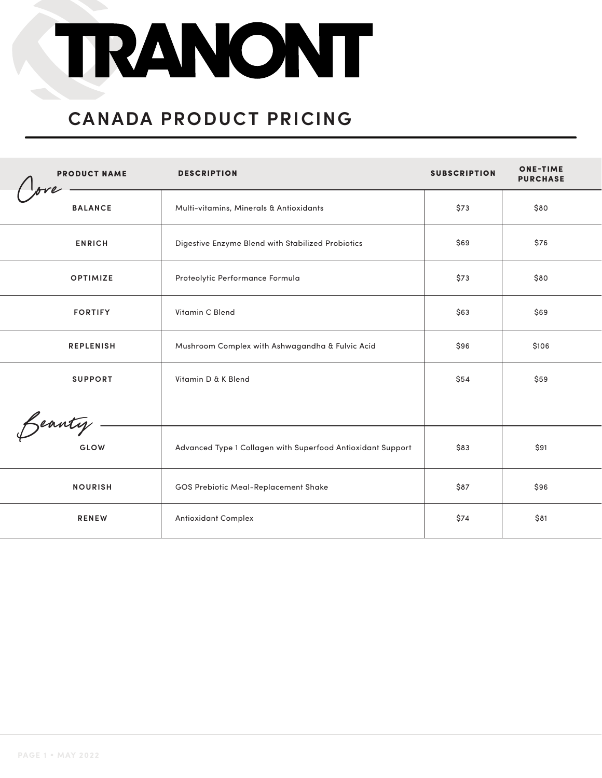# TRANONT

#### **CANADA PRODUCT PRICING**

| <b>PRODUCT NAME</b> | <b>DESCRIPTION</b>                                          | <b>SUBSCRIPTION</b> | <b>ONE-TIME</b><br><b>PURCHASE</b> |
|---------------------|-------------------------------------------------------------|---------------------|------------------------------------|
| <b>BALANCE</b>      | Multi-vitamins, Minerals & Antioxidants                     | \$73                | \$80                               |
| <b>ENRICH</b>       | Digestive Enzyme Blend with Stabilized Probiotics           | \$69                | \$76                               |
| <b>OPTIMIZE</b>     | Proteolytic Performance Formula                             | \$73                | \$80                               |
| <b>FORTIFY</b>      | Vitamin C Blend                                             | \$63                | \$69                               |
| <b>REPLENISH</b>    | Mushroom Complex with Ashwagandha & Fulvic Acid             | \$96                | \$106                              |
| <b>SUPPORT</b>      | Vitamin D & K Blend                                         | \$54                | \$59                               |
|                     |                                                             |                     |                                    |
| Beauty.<br>GLOW     | Advanced Type 1 Collagen with Superfood Antioxidant Support | \$83                | \$91                               |
| <b>NOURISH</b>      | GOS Prebiotic Meal-Replacement Shake                        | \$87                | \$96                               |
| <b>RENEW</b>        | <b>Antioxidant Complex</b>                                  | \$74                | \$81                               |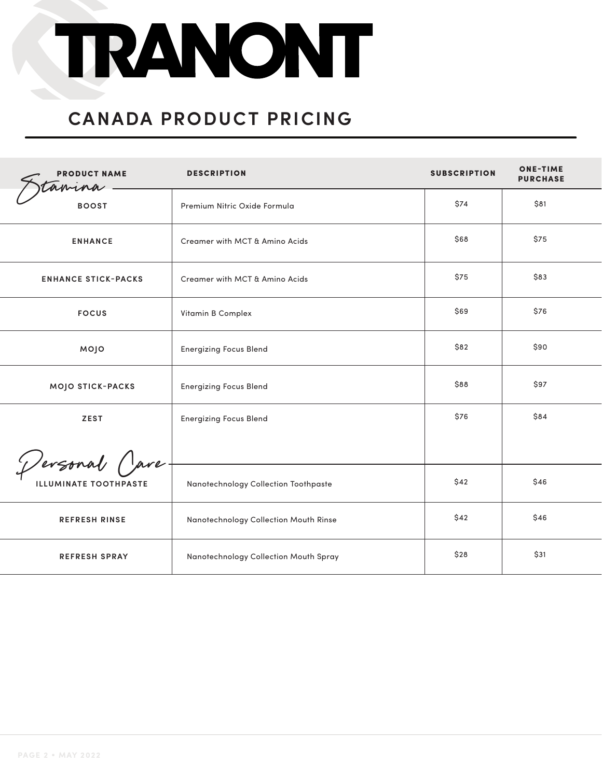## TRANONT

#### **CANADA PRODUCT PRICING**

| <b>PRODUCT NAME</b><br>amina | <b>DESCRIPTION</b>                    | <b>SUBSCRIPTION</b> | <b>ONE-TIME</b><br><b>PURCHASE</b> |
|------------------------------|---------------------------------------|---------------------|------------------------------------|
| <b>BOOST</b>                 | Premium Nitric Oxide Formula          | \$74                | \$81                               |
| <b>ENHANCE</b>               | Creamer with MCT & Amino Acids        | \$68                | \$75                               |
| <b>ENHANCE STICK-PACKS</b>   | Creamer with MCT & Amino Acids        | \$75                | \$83                               |
| <b>FOCUS</b>                 | Vitamin B Complex                     | \$69                | \$76                               |
| MOJO                         | <b>Energizing Focus Blend</b>         | \$82                | \$90                               |
| MOJO STICK-PACKS             | <b>Energizing Focus Blend</b>         | \$88                | \$97                               |
| <b>ZEST</b>                  | <b>Energizing Focus Blend</b>         | \$76                | \$84                               |
|                              |                                       |                     |                                    |
| <b>ILLUMINATE TOOTHPASTE</b> | Nanotechnology Collection Toothpaste  | \$42                | \$46                               |
| <b>REFRESH RINSE</b>         | Nanotechnology Collection Mouth Rinse | \$42                | \$46                               |
| <b>REFRESH SPRAY</b>         | Nanotechnology Collection Mouth Spray | \$28                | \$31                               |
| Dersonal Care                |                                       |                     |                                    |